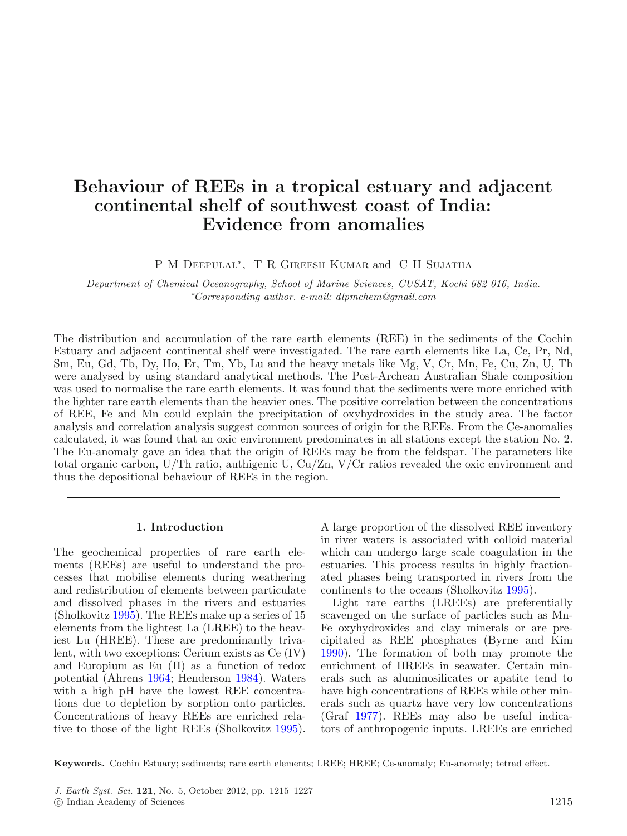# **Behaviour of REEs in a tropical estuary and adjacent continental shelf of southwest coast of India: Evidence from anomalies**

P M DEEPULAL<sup>∗</sup>, T R GIREESH KUMAR and C H SUJATHA

Department of Chemical Oceanography, School of Marine Sciences, CUSAT, Kochi 682 016, India. ∗ Corresponding author. e-mail: dlpmchem@gmail.com

The distribution and accumulation of the rare earth elements (REE) in the sediments of the Cochin Estuary and adjacent continental shelf were investigated. The rare earth elements like La, Ce, Pr, Nd, Sm, Eu, Gd, Tb, Dy, Ho, Er, Tm, Yb, Lu and the heavy metals like Mg, V, Cr, Mn, Fe, Cu, Zn, U, Th were analysed by using standard analytical methods. The Post-Archean Australian Shale composition was used to normalise the rare earth elements. It was found that the sediments were more enriched with the lighter rare earth elements than the heavier ones. The positive correlation between the concentrations of REE, Fe and Mn could explain the precipitation of oxyhydroxides in the study area. The factor analysis and correlation analysis suggest common sources of origin for the REEs. From the Ce-anomalies calculated, it was found that an oxic environment predominates in all stations except the station No. 2. The Eu-anomaly gave an idea that the origin of REEs may be from the feldspar. The parameters like total organic carbon, U/Th ratio, authigenic U, Cu/Zn, V/Cr ratios revealed the oxic environment and thus the depositional behaviour of REEs in the region.

#### **1. Introduction**

The geochemical properties of rare earth elements (REEs) are useful to understand the processes that mobilise elements during weathering and redistribution of elements between particulate and dissolved phases in the rivers and estuaries (Sholkovit[z](#page-12-0) [1995\)](#page-12-0). The REEs make up a series of 15 elements from the lightest La (LREE) to the heaviest Lu (HREE). These are predominantly trivalent, with two exceptions: Cerium exists as Ce (IV) and Europium as Eu (II) as a function of redox potential (Ahren[s](#page-11-0) [1964;](#page-11-0) Henderso[n](#page-11-1) [1984\)](#page-11-1). Waters with a high pH have the lowest REE concentrations due to depletion by sorption onto particles. Concentrations of heavy REEs are enriched relative to those of the light REEs (Sholkovit[z](#page-12-0) [1995](#page-12-0)).

A large proportion of the dissolved REE inventory in river waters is associated with colloid material which can undergo large scale coagulation in the estuaries. This process results in highly fractionated phases being transported in rivers from the continents to the oceans (Sholkovit[z](#page-12-0) [1995\)](#page-12-0).

Light rare earths (LREEs) are preferentially scavenged on the surface of particles such as Mn-Fe oxyhydroxides and clay minerals or are precipitated as REE phosphates (Byrne and Ki[m](#page-11-2) [1990\)](#page-11-2). The formation of both may promote the enrichment of HREEs in seawater. Certain minerals such as aluminosilicates or apatite tend to have high concentrations of REEs while other minerals such as quartz have very low concentrations (Gra[f](#page-11-3) [1977](#page-11-3)). REEs may also be useful indicators of anthropogenic inputs. LREEs are enriched

**Keywords.** Cochin Estuary; sediments; rare earth elements; LREE; HREE; Ce-anomaly; Eu-anomaly; tetrad effect.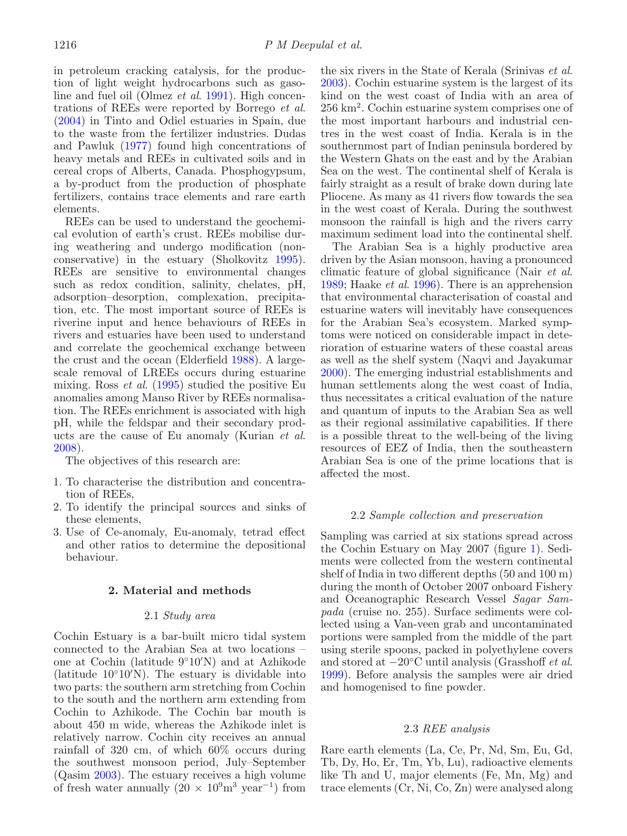in petroleum cracking catalysis, for the production of light weight hydrocarbons such as gasoline and fuel oil (Olmez et al[.](#page-11-4) [1991](#page-11-4)). High concentrations of REEs were reported by Borrego et al[.](#page-11-5) [\(2004](#page-11-5)) in Tinto and Odiel estuaries in Spain, due to the waste from the fertilizer industries. Dudas and Pawlu[k](#page-11-6) [\(1977](#page-11-6)) found high concentrations of heavy metals and REEs in cultivated soils and in cereal crops of Alberts, Canada. Phosphogypsum, a by-product from the production of phosphate fertilizers, contains trace elements and rare earth elements.

REEs can be used to understand the geochemical evolution of earth's crust. REEs mobilise during weathering and undergo modification (nonconservative) in the estuary (Sholkovit[z](#page-12-0) [1995](#page-12-0)). REEs are sensitive to environmental changes such as redox condition, salinity, chelates, pH, adsorption–desorption, complexation, precipitation, etc. The most important source of REEs is riverine input and hence behaviours of REEs in rivers and estuaries have been used to understand and correlate the geochemical exchange between the crust and the ocean (Elderfiel[d](#page-11-7) [1988\)](#page-11-7). A largescale removal of LREEs occurs during estuarine mixing[.](#page-12-1) Ross  $et \ al.$  [\(1995\)](#page-12-1) studied the positive Eu anomalies among Manso River by REEs normalisation. The REEs enrichment is associated with high pH, while the feldspar and their secondary products are the cause of Eu anomaly (Kurian et al[.](#page-11-8) [2008\)](#page-11-8).

The objectives of this research are:

- 1. To characterise the distribution and concentration of REEs,
- 2. To identify the principal sources and sinks of these elements,
- 3. Use of Ce-anomaly, Eu-anomaly, tetrad effect and other ratios to determine the depositional behaviour.

#### **2. Material and methods**

#### 2.1 Study area

Cochin Estuary is a bar-built micro tidal system connected to the Arabian Sea at two locations – one at Cochin (latitude 9◦10 N) and at Azhikode (latitude 10◦10 N). The estuary is dividable into two parts: the southern arm stretching from Cochin to the south and the northern arm extending from Cochin to Azhikode. The Cochin bar mouth is about 450 m wide, whereas the Azhikode inlet is relatively narrow. Cochin city receives an annual rainfall of 320 cm, of which 60% occurs during the southwest monsoon period, July–September (Qasi[m](#page-12-2) [2003](#page-12-2)). The estuary receives a high volume of fresh water annually  $(20 \times 10^9 \text{m}^3 \text{ year}^{-1})$  from

the six rivers in the State of Kerala (Srinivas et al[.](#page-12-3) [2003\)](#page-12-3). Cochin estuarine system is the largest of its kind on the west coast of India with an area of 256 km<sup>2</sup>. Cochin estuarine system comprises one of the most important harbours and industrial centres in the west coast of India. Kerala is in the southernmost part of Indian peninsula bordered by the Western Ghats on the east and by the Arabian Sea on the west. The continental shelf of Kerala is fairly straight as a result of brake down during late Pliocene. As many as 41 rivers flow towards the sea in the west coast of Kerala. During the southwest monsoon the rainfall is high and the rivers carry maximum sediment load into the continental shelf.

The Arabian Sea is a highly productive area driven by the Asian monsoon, having a pronounced climatic feature of global significance (Nair et al[.](#page-11-9) [1989;](#page-11-9) Haake et al[.](#page-11-10) [1996](#page-11-10)). There is an apprehension that environmental characterisation of coastal and estuarine waters will inevitably have consequences for the Arabian Sea's ecosystem. Marked symptoms were noticed on considerable impact in deterioration of estuarine waters of these coastal areas as well as the shelf system (Naqvi and Jayakuma[r](#page-11-11) [2000\)](#page-11-11). The emerging industrial establishments and human settlements along the west coast of India, thus necessitates a critical evaluation of the nature and quantum of inputs to the Arabian Sea as well as their regional assimilative capabilities. If there is a possible threat to the well-being of the living resources of EEZ of India, then the southeastern Arabian Sea is one of the prime locations that is affected the most.

#### 2.2 Sample collection and preservation

Sampling was carried at six stations spread across the Cochin Estuary on May 2007 (figure [1\)](#page-2-0). Sediments were collected from the western continental shelf of India in two different depths (50 and 100 m) during the month of October 2007 onboard Fishery and Oceanographic Research Vessel Sagar Sampada (cruise no. 255). Surface sediments were collected using a Van-veen grab and uncontaminated portions were sampled from the middle of the part using sterile spoons, packed in polyethylene covers and stored at  $-20^{\circ}$ C until analysis (Grasshoff *et al[.](#page-11-12)*) [1999\)](#page-11-12). Before analysis the samples were air dried and homogenised to fine powder.

#### 2.3 REE analysis

Rare earth elements (La, Ce, Pr, Nd, Sm, Eu, Gd, Tb, Dy, Ho, Er, Tm, Yb, Lu), radioactive elements like Th and U, major elements (Fe, Mn, Mg) and trace elements (Cr, Ni, Co, Zn) were analysed along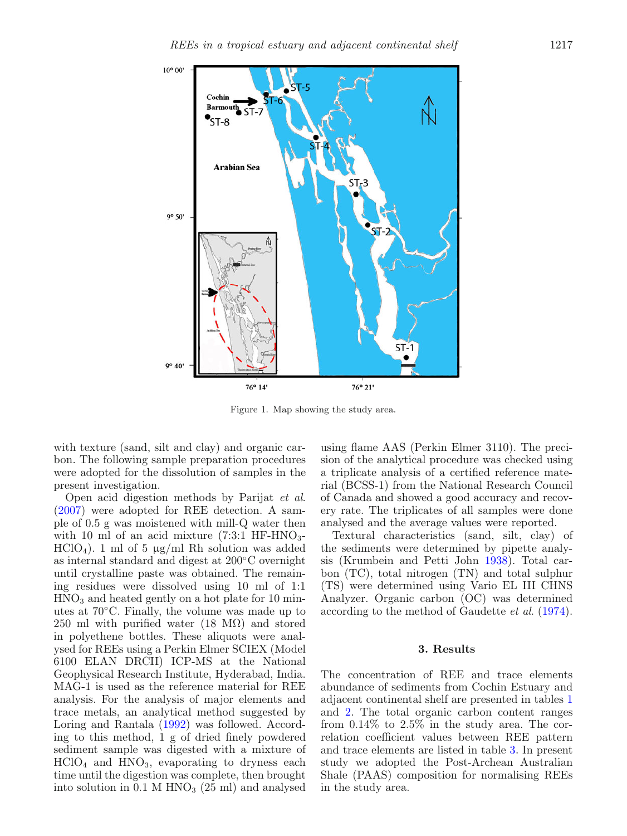<span id="page-2-0"></span>

Figure 1. Map showing the study area.

with texture (sand, silt and clay) and organic carbon. The following sample preparation procedures were adopted for the dissolution of samples in the present investigation.

Open acid digestion methods by Parijat et al[.](#page-12-4) [\(2007](#page-12-4)) were adopted for REE detection. A sample of 0.5 g was moistened with mill-Q water then with 10 ml of an acid mixture  $(7:3:1$  HF-HNO<sub>3</sub>- $HClO<sub>4</sub>$ ). 1 ml of 5  $\mu$ g/ml Rh solution was added as internal standard and digest at 200◦C overnight until crystalline paste was obtained. The remaining residues were dissolved using 10 ml of 1:1  $HNO<sub>3</sub>$  and heated gently on a hot plate for 10 minutes at 70◦C. Finally, the volume was made up to 250 ml with purified water (18 M $\Omega$ ) and stored in polyethene bottles. These aliquots were analysed for REEs using a Perkin Elmer SCIEX (Model 6100 ELAN DRCII) ICP-MS at the National Geophysical Research Institute, Hyderabad, India. MAG-1 is used as the reference material for REE analysis. For the analysis of major elements and trace metals, an analytical method suggested by Loring and Rantal[a](#page-11-13) [\(1992\)](#page-11-13) was followed. According to this method, 1 g of dried finely powdered sediment sample was digested with a mixture of  $HClO<sub>4</sub>$  and  $HNO<sub>3</sub>$ , evaporating to dryness each time until the digestion was complete, then brought into solution in  $0.1$  M HNO<sub>3</sub> (25 ml) and analysed

using flame AAS (Perkin Elmer 3110). The precision of the analytical procedure was checked using a triplicate analysis of a certified reference material (BCSS-1) from the National Research Council of Canada and showed a good accuracy and recovery rate. The triplicates of all samples were done analysed and the average values were reported.

Textural characteristics (sand, silt, clay) of the sediments were determined by pipette analysis (Krumbein and Petti Joh[n](#page-11-14) [1938](#page-11-14)). Total carbon (TC), total nitrogen (TN) and total sulphur (TS) were determined using Vario EL III CHNS Analyzer. Organic carbon (OC) was determined according to the method of Gaudette et al[.](#page-11-15) [\(1974\)](#page-11-15).

#### **3. Results**

The concentration of REE and trace elements abundance of sediments from Cochin Estuary and adjacent continental shelf are presented in tables [1](#page-3-0) and [2.](#page-3-1) The total organic carbon content ranges from 0.14% to 2.5% in the study area. The correlation coefficient values between REE pattern and trace elements are listed in table [3.](#page-4-0) In present study we adopted the Post-Archean Australian Shale (PAAS) composition for normalising REEs in the study area.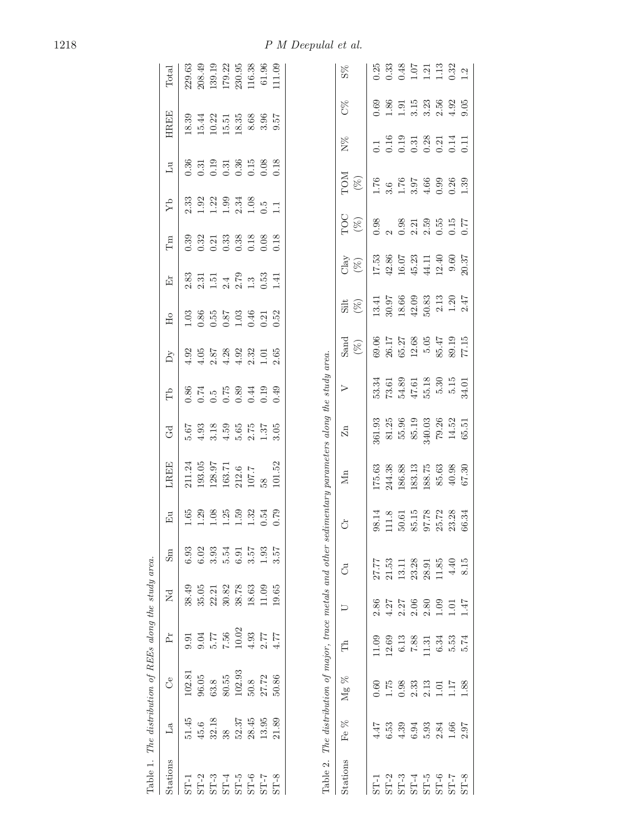| Table 1.                                                                                                                                                                                                                                                                                                                                                                                                                                         |          | The distribution of REEs along the study area. |                       |                    |                                   |                                                                                                |                                                                                                      |                                                                  |                                                                                      |                                                                                                               |                                                                                                                                                                                                                                                                                                               |                                                             |                                                                                                        |                                                                                                                                                                                                                                                                                                                                             |                                                                    |                                                                                                                                                                                                                                                                                                           |                                                                                                     |
|--------------------------------------------------------------------------------------------------------------------------------------------------------------------------------------------------------------------------------------------------------------------------------------------------------------------------------------------------------------------------------------------------------------------------------------------------|----------|------------------------------------------------|-----------------------|--------------------|-----------------------------------|------------------------------------------------------------------------------------------------|------------------------------------------------------------------------------------------------------|------------------------------------------------------------------|--------------------------------------------------------------------------------------|---------------------------------------------------------------------------------------------------------------|---------------------------------------------------------------------------------------------------------------------------------------------------------------------------------------------------------------------------------------------------------------------------------------------------------------|-------------------------------------------------------------|--------------------------------------------------------------------------------------------------------|---------------------------------------------------------------------------------------------------------------------------------------------------------------------------------------------------------------------------------------------------------------------------------------------------------------------------------------------|--------------------------------------------------------------------|-----------------------------------------------------------------------------------------------------------------------------------------------------------------------------------------------------------------------------------------------------------------------------------------------------------|-----------------------------------------------------------------------------------------------------|
| Stations                                                                                                                                                                                                                                                                                                                                                                                                                                         | La       | $\mathcal{C}^{\mathsf{e}}$                     | Pr                    | $_{\rm N}^{\rm d}$ | $\operatorname{Sm}$               | $\mathrm{Eu}$                                                                                  | LREE                                                                                                 | $G\,$                                                            | Ê                                                                                    | $\sum$                                                                                                        | $\rm H_{0}$                                                                                                                                                                                                                                                                                                   | Ér                                                          | Tm                                                                                                     | ŠЪ                                                                                                                                                                                                                                                                                                                                          | $\mathbb{H}$                                                       | <b>HREE</b>                                                                                                                                                                                                                                                                                               | Total                                                                                               |
| $ST-1$                                                                                                                                                                                                                                                                                                                                                                                                                                           | 51.45    | 102.81                                         | 9.91                  | 38.49              | 6.93                              | $1.65\,$                                                                                       | 211.24                                                                                               |                                                                  |                                                                                      |                                                                                                               |                                                                                                                                                                                                                                                                                                               |                                                             | 0.39                                                                                                   |                                                                                                                                                                                                                                                                                                                                             |                                                                    |                                                                                                                                                                                                                                                                                                           | 229.63                                                                                              |
|                                                                                                                                                                                                                                                                                                                                                                                                                                                  | $45.6\,$ | 96.05                                          |                       | 35.05              | $6.02\,$                          |                                                                                                |                                                                                                      |                                                                  |                                                                                      |                                                                                                               |                                                                                                                                                                                                                                                                                                               |                                                             |                                                                                                        |                                                                                                                                                                                                                                                                                                                                             |                                                                    |                                                                                                                                                                                                                                                                                                           | 208.49                                                                                              |
|                                                                                                                                                                                                                                                                                                                                                                                                                                                  | 32.18    | 63.8                                           | $\frac{1}{2}$ .77     | 22.21              | 3.93                              |                                                                                                |                                                                                                      |                                                                  |                                                                                      |                                                                                                               |                                                                                                                                                                                                                                                                                                               |                                                             |                                                                                                        |                                                                                                                                                                                                                                                                                                                                             |                                                                    |                                                                                                                                                                                                                                                                                                           |                                                                                                     |
|                                                                                                                                                                                                                                                                                                                                                                                                                                                  | 38       | $80.55\,$                                      |                       | $30.82\,$          | 5.54                              |                                                                                                |                                                                                                      |                                                                  |                                                                                      |                                                                                                               |                                                                                                                                                                                                                                                                                                               |                                                             |                                                                                                        |                                                                                                                                                                                                                                                                                                                                             |                                                                    |                                                                                                                                                                                                                                                                                                           |                                                                                                     |
| $\begin{array}{c} 5 \, \text{T} \cdot \text{3} \\ 5 \, \text{T} \cdot \text{4} \\ 5 \, \text{T} \cdot \text{5} \\ 5 \, \text{T} \cdot \text{6} \\ 5 \, \text{T} \cdot \text{5} \\ 5 \, \text{T} \cdot \text{6} \\ 5 \, \text{T} \cdot \text{6} \\ 6 \, \text{T} \cdot \text{6} \\ 7 \, \text{5} \\ 8 \, \text{T} \cdot \text{6} \\ 9 \, \text{C} \cdot \text{6} \\ 1 \, \text{C} \cdot \text{6} \\ 1 \, \text{C} \cdot \text{6} \\ 1 \, \text{C$ | 52.37    | 102.93                                         | $7.56\phantom{1}0.02$ | 38.78              | $6.91\,$                          | $\begin{array}{cccc}\n1.29 & 1.08 & 0.54 \\ 1.5 & 0.5 & 0.54 \\ 1.5 & 0.5 & 0.54\n\end{array}$ | $\begin{array}{l} 193.05\\ 128.97\\ 163.71\\ 163.71\\ 212.6\\ 107.7\\ 58 \end{array}$                | $5.98990007705$<br>$5.9990007705$                                |                                                                                      | $3.58333726$<br>$4.493443726$                                                                                 | $\begin{array}{c} 0.36 \\ 0.36 \\ 0.37 \\ 0.37 \\ 0.49 \\ 0.51 \\ 0.52 \\ 0.52 \\ 0.53 \\ 0.53 \\ 0.53 \\ 0.53 \\ 0.53 \\ 0.53 \\ 0.53 \\ 0.53 \\ 0.53 \\ 0.53 \\ 0.53 \\ 0.53 \\ 0.53 \\ 0.53 \\ 0.53 \\ 0.53 \\ 0.53 \\ 0.53 \\ 0.53 \\ 0.53 \\ 0.53 \\ 0.53 \\ 0.53 \\ 0.53 \\ 0.53 \\ 0.53 \\ 0.53 \\ 0.$ | 3<br>2 5 5 4 5 9 9 9 9<br>2 9 9 9 9 9 9 9                   | $\begin{array}{c} 32 \\ 0.31 \\ 0.33 \\ 0.038 \\ 0.038 \\ 0.038 \\ 0.038 \\ 0.038 \\ 0.18 \end{array}$ |                                                                                                                                                                                                                                                                                                                                             | $0.353385828$<br>$0.3533853828$<br>$0.35338538$                    | $8.39$<br>$15.51$<br>$15.51$<br>$15.53$<br>$15.53$<br>$15.53$<br>$15.55$<br>$15.57$<br>$15.57$                                                                                                                                                                                                            | $\begin{array}{l} 139.19\\ 179.22\\ 230.95\\ 116.38\\ 61.96\\ 61.10\\ 61.0\\ 111.0\\ 9 \end{array}$ |
| $\mathrm{ST}\text{-}6$                                                                                                                                                                                                                                                                                                                                                                                                                           | 28.45    | 50.8                                           | $4.93\,$              | 18.63              | $3.57\phantom{}$ $1.93\phantom{}$ |                                                                                                |                                                                                                      |                                                                  |                                                                                      |                                                                                                               |                                                                                                                                                                                                                                                                                                               |                                                             |                                                                                                        |                                                                                                                                                                                                                                                                                                                                             |                                                                    |                                                                                                                                                                                                                                                                                                           |                                                                                                     |
| $7 - \Gamma$ S                                                                                                                                                                                                                                                                                                                                                                                                                                   | 13.95    | 27.72                                          | 2.77                  | 11.09              |                                   |                                                                                                |                                                                                                      |                                                                  |                                                                                      |                                                                                                               |                                                                                                                                                                                                                                                                                                               |                                                             |                                                                                                        |                                                                                                                                                                                                                                                                                                                                             |                                                                    |                                                                                                                                                                                                                                                                                                           |                                                                                                     |
| $S$ T-8                                                                                                                                                                                                                                                                                                                                                                                                                                          | 89       | 50.86                                          | $4.77$                | 9.65               | $\frac{1}{2}$                     | 0.79                                                                                           | 101.52                                                                                               |                                                                  |                                                                                      |                                                                                                               |                                                                                                                                                                                                                                                                                                               |                                                             |                                                                                                        |                                                                                                                                                                                                                                                                                                                                             |                                                                    |                                                                                                                                                                                                                                                                                                           |                                                                                                     |
| Stations                                                                                                                                                                                                                                                                                                                                                                                                                                         | R<br>ĒΘ  | R<br>$\mathbb{N}$ g                            | Гh                    | ⋍                  | ්                                 | Ğ                                                                                              | The distribution of major, trace metals and other sedimentary parameters along the study area.<br>Mn | Zn                                                               | $\triangleright$                                                                     | Sand                                                                                                          | $\frac{11}{25}$                                                                                                                                                                                                                                                                                               | $\mathop{{\rm Clay}}\limits_{(\%)}$                         | $_{\text{TOC}}$                                                                                        | LOM                                                                                                                                                                                                                                                                                                                                         | N%                                                                 | $C\%$                                                                                                                                                                                                                                                                                                     | $S\%$                                                                                               |
|                                                                                                                                                                                                                                                                                                                                                                                                                                                  |          |                                                |                       |                    |                                   |                                                                                                |                                                                                                      |                                                                  |                                                                                      | $(\%)$                                                                                                        |                                                                                                                                                                                                                                                                                                               |                                                             | $(\%)$                                                                                                 | $\begin{pmatrix} \frac{\partial}{\partial x} & \frac{\partial}{\partial y} & \frac{\partial}{\partial z} \\ \frac{\partial}{\partial y} & \frac{\partial}{\partial z} & \frac{\partial}{\partial z} \\ \frac{\partial}{\partial z} & \frac{\partial}{\partial z} & \frac{\partial}{\partial z} & \frac{\partial}{\partial z} \end{pmatrix}$ |                                                                    |                                                                                                                                                                                                                                                                                                           |                                                                                                     |
| $ST-1$                                                                                                                                                                                                                                                                                                                                                                                                                                           | 4.47     | 0.60                                           |                       | 86                 | 27.77                             |                                                                                                | 175.63                                                                                               | 361.93                                                           |                                                                                      | $69.06$<br>$26.17$<br>$25.27$<br>$65.27$<br>$5.68$<br>$5.47$<br>$5.5$<br>$5.47$<br>$5.47$<br>$5.47$<br>$5.47$ | $\begin{array}{l} 13.41 \\ 30.97 \\ 18.66 \\ 19.63 \\ 14.0 \\ 50.83 \\ 1.20 \\ 1.47 \\ \end{array}$                                                                                                                                                                                                           | 17.53<br>42.86<br>16.07<br>45.23<br>45.40<br>90.37<br>20.37 |                                                                                                        |                                                                                                                                                                                                                                                                                                                                             |                                                                    | 0.69                                                                                                                                                                                                                                                                                                      |                                                                                                     |
|                                                                                                                                                                                                                                                                                                                                                                                                                                                  | 6.53     | 1.75                                           | 12.69                 |                    | 21.53                             |                                                                                                |                                                                                                      |                                                                  |                                                                                      |                                                                                                               |                                                                                                                                                                                                                                                                                                               |                                                             |                                                                                                        |                                                                                                                                                                                                                                                                                                                                             |                                                                    |                                                                                                                                                                                                                                                                                                           |                                                                                                     |
| $\begin{array}{c} \text{ST-2}\\ \text{ST-3} \end{array}$                                                                                                                                                                                                                                                                                                                                                                                         | 4.39     | 0.98                                           | $6.13\,$              | $4.27$<br>$2.27$   | 13.11                             |                                                                                                |                                                                                                      |                                                                  |                                                                                      |                                                                                                               |                                                                                                                                                                                                                                                                                                               |                                                             |                                                                                                        |                                                                                                                                                                                                                                                                                                                                             |                                                                    |                                                                                                                                                                                                                                                                                                           |                                                                                                     |
| $\begin{array}{c} 2 - 1.5 \\ 1 - 1.5 \\ 1 - 1.5 \\ 1 - 1.5 \\ \end{array}$                                                                                                                                                                                                                                                                                                                                                                       | $6.94\,$ | $2.33\,$                                       | $7.88$                | $2.06$<br>$2.80$   | 23.28                             | 98.14<br>11.8<br>50.51.5<br>95.72<br>96.34<br>66.34                                            | $\begin{array}{c} 244.38 \\ 186.88 \\ 183.13 \\ 183.75 \\ 85.63 \\ 40.98 \\ \end{array}$             | $\begin{array}{c} 81.25 \\ 55.96 \\ 85.19 \\ 840.03 \end{array}$ | $53.34$<br>$73.61$<br>$54.61$<br>$47.61$<br>$55.18$<br>$55.15$<br>$55.15$<br>$54.01$ |                                                                                                               |                                                                                                                                                                                                                                                                                                               |                                                             | $0.38$ $0.37$<br>$0.37$<br>$0.50$<br>$0.50$<br>$0.50$<br>$0.50$<br>$0.77$                              | $1.76$<br>$1.76$<br>$1.34$<br>$0.38$<br>$1.34$<br>$0.5$<br>$0.39$                                                                                                                                                                                                                                                                           | $0.16$<br>$0.19$<br>$0.33$<br>$0.33$<br>$0.51$<br>$0.11$<br>$0.11$ | $\frac{86}{11}$ $\frac{15}{11}$ $\frac{17}{11}$ $\frac{33}{11}$ $\frac{36}{11}$ $\frac{36}{11}$ $\frac{36}{11}$ $\frac{36}{11}$ $\frac{36}{11}$ $\frac{36}{11}$ $\frac{36}{11}$ $\frac{36}{11}$ $\frac{36}{11}$ $\frac{36}{11}$ $\frac{36}{11}$ $\frac{36}{11}$ $\frac{36}{11}$ $\frac{36}{11}$ $\frac{3$ |                                                                                                     |
|                                                                                                                                                                                                                                                                                                                                                                                                                                                  | 5.93     | $2.13\,$                                       | 11.31                 |                    | 28.91                             |                                                                                                |                                                                                                      |                                                                  |                                                                                      |                                                                                                               |                                                                                                                                                                                                                                                                                                               |                                                             |                                                                                                        |                                                                                                                                                                                                                                                                                                                                             |                                                                    |                                                                                                                                                                                                                                                                                                           |                                                                                                     |
|                                                                                                                                                                                                                                                                                                                                                                                                                                                  | 2.84     | $1.01\,$                                       | 6.34                  | 1.09               | $11.85\,$                         |                                                                                                |                                                                                                      |                                                                  |                                                                                      |                                                                                                               |                                                                                                                                                                                                                                                                                                               |                                                             |                                                                                                        |                                                                                                                                                                                                                                                                                                                                             |                                                                    |                                                                                                                                                                                                                                                                                                           |                                                                                                     |
|                                                                                                                                                                                                                                                                                                                                                                                                                                                  | 1.66     | 117                                            | $5.53\,$              | $\overline{1.01}$  | 4.40                              |                                                                                                |                                                                                                      | $79.26$<br>14.52                                                 |                                                                                      |                                                                                                               |                                                                                                                                                                                                                                                                                                               |                                                             |                                                                                                        |                                                                                                                                                                                                                                                                                                                                             |                                                                    |                                                                                                                                                                                                                                                                                                           |                                                                                                     |
| $\operatorname{ST-8}$                                                                                                                                                                                                                                                                                                                                                                                                                            | 2.97     | 1.88                                           | 5.74                  | 1.47               | 8.15                              |                                                                                                |                                                                                                      | 65.51                                                            |                                                                                      |                                                                                                               |                                                                                                                                                                                                                                                                                                               |                                                             |                                                                                                        |                                                                                                                                                                                                                                                                                                                                             |                                                                    |                                                                                                                                                                                                                                                                                                           |                                                                                                     |

<span id="page-3-1"></span><span id="page-3-0"></span>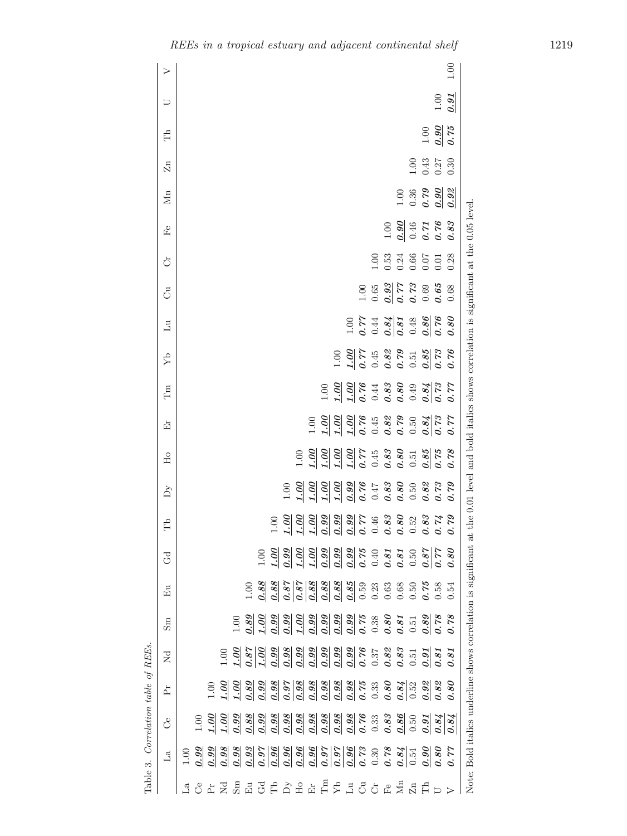| $\geq$                      |   |  |  |                                                                                                                                                                                                                                                                                                               |                                                                                                                                                                                                                                                                                                                     |  |  |  |                                                                                                                                                                                                                                                                                                                                                                                                                                                           |      |  |                                                                             |                                                                    | 1.00 |
|-----------------------------|---|--|--|---------------------------------------------------------------------------------------------------------------------------------------------------------------------------------------------------------------------------------------------------------------------------------------------------------------|---------------------------------------------------------------------------------------------------------------------------------------------------------------------------------------------------------------------------------------------------------------------------------------------------------------------|--|--|--|-----------------------------------------------------------------------------------------------------------------------------------------------------------------------------------------------------------------------------------------------------------------------------------------------------------------------------------------------------------------------------------------------------------------------------------------------------------|------|--|-----------------------------------------------------------------------------|--------------------------------------------------------------------|------|
| $\cup$<br>Ê                 |   |  |  |                                                                                                                                                                                                                                                                                                               |                                                                                                                                                                                                                                                                                                                     |  |  |  |                                                                                                                                                                                                                                                                                                                                                                                                                                                           |      |  |                                                                             | $\begin{array}{c} 1.00 \\ 0.91 \end{array}$<br>$\frac{6.90}{0.75}$ |      |
| $\mathbb{Z}^n$              |   |  |  |                                                                                                                                                                                                                                                                                                               |                                                                                                                                                                                                                                                                                                                     |  |  |  |                                                                                                                                                                                                                                                                                                                                                                                                                                                           |      |  | $1.00$<br>0.43<br>0.27                                                      |                                                                    | 0.30 |
| $\mathbb{M}_{n}$            |   |  |  |                                                                                                                                                                                                                                                                                                               |                                                                                                                                                                                                                                                                                                                     |  |  |  |                                                                                                                                                                                                                                                                                                                                                                                                                                                           |      |  | $\frac{100}{0.36}$<br>0.36                                                  |                                                                    | 0.92 |
| Ê                           |   |  |  |                                                                                                                                                                                                                                                                                                               |                                                                                                                                                                                                                                                                                                                     |  |  |  |                                                                                                                                                                                                                                                                                                                                                                                                                                                           |      |  | $\begin{array}{r} 1.00 \\ 0.90 \\ 0.46 \\ 0.77 \\ 0.06 \\ 0.01 \end{array}$ |                                                                    |      |
| ð                           |   |  |  |                                                                                                                                                                                                                                                                                                               |                                                                                                                                                                                                                                                                                                                     |  |  |  | 1.00                                                                                                                                                                                                                                                                                                                                                                                                                                                      | 0.53 |  | $0.24$<br>$0.66$<br>$0.07$<br>$0.01$                                        |                                                                    | 0.28 |
| ්                           |   |  |  |                                                                                                                                                                                                                                                                                                               |                                                                                                                                                                                                                                                                                                                     |  |  |  | $1.06$<br>$0.65$<br>$0.93$<br>$0.77$<br>$0.65$<br>$0.65$<br>$0.68$                                                                                                                                                                                                                                                                                                                                                                                        |      |  |                                                                             |                                                                    |      |
| $\mathbb{L}^{\mathfrak{u}}$ |   |  |  |                                                                                                                                                                                                                                                                                                               |                                                                                                                                                                                                                                                                                                                     |  |  |  | $1.06$<br>$0.77$<br>$0.84$<br>$0.84$<br>$0.86$<br>$0.76$<br>$0.80$<br>$0.6$<br>$0.6$                                                                                                                                                                                                                                                                                                                                                                      |      |  |                                                                             |                                                                    |      |
| Åр                          |   |  |  |                                                                                                                                                                                                                                                                                                               |                                                                                                                                                                                                                                                                                                                     |  |  |  | $\frac{36}{100}$<br>$\frac{100}{100}$<br>$\frac{1}{100}$<br>$\frac{38}{100}$<br>$\frac{35}{100}$<br>$\frac{35}{100}$<br>$\frac{35}{100}$<br>$\frac{35}{100}$                                                                                                                                                                                                                                                                                              |      |  |                                                                             |                                                                    |      |
| $\mathbb{F}^n$              |   |  |  |                                                                                                                                                                                                                                                                                                               |                                                                                                                                                                                                                                                                                                                     |  |  |  | $\frac{1}{1} \cdot \frac{1}{2} \cdot \frac{1}{2} \cdot \frac{1}{6} \cdot \frac{1}{2} \cdot \frac{1}{6} \cdot \frac{1}{3} \cdot \frac{1}{6} \cdot \frac{1}{3} \cdot \frac{1}{3} \cdot \frac{1}{6} \cdot \frac{1}{3} \cdot \frac{1}{3} \cdot \frac{1}{3} \cdot \frac{1}{3} \cdot \frac{1}{3} \cdot \frac{1}{3} \cdot \frac{1}{3} \cdot \frac{1}{3} \cdot \frac{1}{3} \cdot \frac{1}{3} \cdot \frac{1}{3} \cdot \frac{1}{3} \cdot \frac{1}{3} \cdot \frac{1$ |      |  |                                                                             |                                                                    |      |
| 卣                           |   |  |  |                                                                                                                                                                                                                                                                                                               |                                                                                                                                                                                                                                                                                                                     |  |  |  | $\frac{1}{1}$<br>$\frac{1}{1}$<br>$\frac{1}{1}$<br>$\frac{1}{1}$<br>$\frac{1}{1}$<br>$\frac{1}{1}$<br>$\frac{1}{1}$<br>$\frac{1}{1}$<br>$\frac{1}{1}$<br>$\frac{1}{1}$<br>$\frac{1}{1}$<br>$\frac{1}{1}$<br>$\frac{1}{1}$<br>$\frac{1}{1}$<br>$\frac{1}{1}$<br>$\frac{1}{1}$<br>$\frac{1}{1}$<br>$\frac{1}{1}$<br>$\frac{1}{1}$<br>$\frac{1}{1}$<br>                                                                                                      |      |  |                                                                             |                                                                    |      |
| H <sub>o</sub>              |   |  |  |                                                                                                                                                                                                                                                                                                               |                                                                                                                                                                                                                                                                                                                     |  |  |  | $\begin{array}{c} 1.00 \\ 1.00 \\ 1.10 \\ 1.11 \\ 1.00 \\ 1.01 \\ 1.00 \\ 1.01 \\ 1.00 \\ 1.01 \\ 1.01 \\ 1.01 \\ 1.01 \\ 1.01 \\ 1.01 \\ 1.01 \\ 1.01 \\ 1.01 \\ 1.01 \\ 1.01 \\ 1.01 \\ 1.01 \\ 1.01 \\ 1.01 \\ 1.01 \\ 1.01 \\ 1.01 \\ 1.01 \\ 1.01 \\ 1.01 \\ 1.01 \\ 1.01 \\ 1.01 \\ 1.01 \\ 1.01 \\ 1.$                                                                                                                                             |      |  |                                                                             |                                                                    |      |
| $\sum_{i=1}^{n}$            |   |  |  |                                                                                                                                                                                                                                                                                                               |                                                                                                                                                                                                                                                                                                                     |  |  |  | $\begin{array}{cccccc}\n 1.00 & 0.00 & 0.00 & 0.00 & 0.00 & 0.00 & 0.00 & 0.00 & 0.00 & 0.00 & 0.00 & 0.00 & 0.00 & 0.00 & 0.00 & 0.00 & 0.00 & 0.00 & 0.00 & 0.00 & 0.00 & 0.00 & 0.00 & 0.00 & 0.00 & 0.00 & 0.00 & 0.00 & 0.00 & 0.00 & 0.00 & 0.00 & 0.00 & 0.00 & 0.00 & $                                                                                                                                                                           |      |  |                                                                             |                                                                    | 0.79 |
| Ê                           |   |  |  |                                                                                                                                                                                                                                                                                                               |                                                                                                                                                                                                                                                                                                                     |  |  |  |                                                                                                                                                                                                                                                                                                                                                                                                                                                           |      |  |                                                                             |                                                                    |      |
| Gd                          |   |  |  |                                                                                                                                                                                                                                                                                                               |                                                                                                                                                                                                                                                                                                                     |  |  |  |                                                                                                                                                                                                                                                                                                                                                                                                                                                           |      |  |                                                                             |                                                                    |      |
| $\mathbb{E}$                |   |  |  |                                                                                                                                                                                                                                                                                                               | $\frac{1}{2}$ $\frac{1}{2}$ $\frac{1}{2}$ $\frac{1}{2}$ $\frac{1}{2}$ $\frac{1}{2}$ $\frac{1}{2}$ $\frac{1}{2}$ $\frac{1}{2}$ $\frac{1}{2}$ $\frac{1}{2}$ $\frac{1}{2}$ $\frac{1}{2}$ $\frac{1}{2}$ $\frac{1}{2}$ $\frac{1}{2}$ $\frac{1}{2}$ $\frac{1}{2}$ $\frac{1}{2}$ $\frac{1}{2}$ $\frac{1}{2}$ $\frac{1}{2}$ |  |  |  |                                                                                                                                                                                                                                                                                                                                                                                                                                                           |      |  |                                                                             |                                                                    |      |
| $\mathrm{Sm}$               |   |  |  |                                                                                                                                                                                                                                                                                                               |                                                                                                                                                                                                                                                                                                                     |  |  |  |                                                                                                                                                                                                                                                                                                                                                                                                                                                           |      |  |                                                                             |                                                                    |      |
| $_{\rm Nd}$                 |   |  |  |                                                                                                                                                                                                                                                                                                               |                                                                                                                                                                                                                                                                                                                     |  |  |  |                                                                                                                                                                                                                                                                                                                                                                                                                                                           |      |  |                                                                             |                                                                    |      |
| $\Pr$                       |   |  |  | $\begin{array}{l} 1.98 \\ 1.11 \\ 1.12 \\ 1.13 \\ 1.14 \\ 1.15 \\ 1.16 \\ 1.17 \\ 1.18 \\ 1.19 \\ 1.19 \\ 1.19 \\ 1.19 \\ 1.19 \\ 1.19 \\ 1.19 \\ 1.10 \\ 1.10 \\ 1.10 \\ 1.10 \\ 1.10 \\ 1.10 \\ 1.10 \\ 1.10 \\ 1.10 \\ 1.10 \\ 1.10 \\ 1.10 \\ 1.10 \\ 1.10 \\ 1.10 \\ 1.10 \\ 1.10 \\ 1.10 \\ 1.10 \\ 1.$ |                                                                                                                                                                                                                                                                                                                     |  |  |  |                                                                                                                                                                                                                                                                                                                                                                                                                                                           |      |  |                                                                             |                                                                    |      |
| $\mathcal{C}^{\mathsf{e}}$  |   |  |  |                                                                                                                                                                                                                                                                                                               |                                                                                                                                                                                                                                                                                                                     |  |  |  |                                                                                                                                                                                                                                                                                                                                                                                                                                                           |      |  |                                                                             |                                                                    |      |
| $\mathbb{L}^{\mathbb{a}}$   |   |  |  |                                                                                                                                                                                                                                                                                                               |                                                                                                                                                                                                                                                                                                                     |  |  |  |                                                                                                                                                                                                                                                                                                                                                                                                                                                           |      |  |                                                                             |                                                                    |      |
|                             | ₫ |  |  | $@EZ @GZ @GZ @GZ @GZ @GZ @GD>$                                                                                                                                                                                                                                                                                |                                                                                                                                                                                                                                                                                                                     |  |  |  |                                                                                                                                                                                                                                                                                                                                                                                                                                                           |      |  |                                                                             |                                                                    |      |

<span id="page-4-0"></span>Table 3. Correlation table of REEs. Table 3. Correlation table of REEs.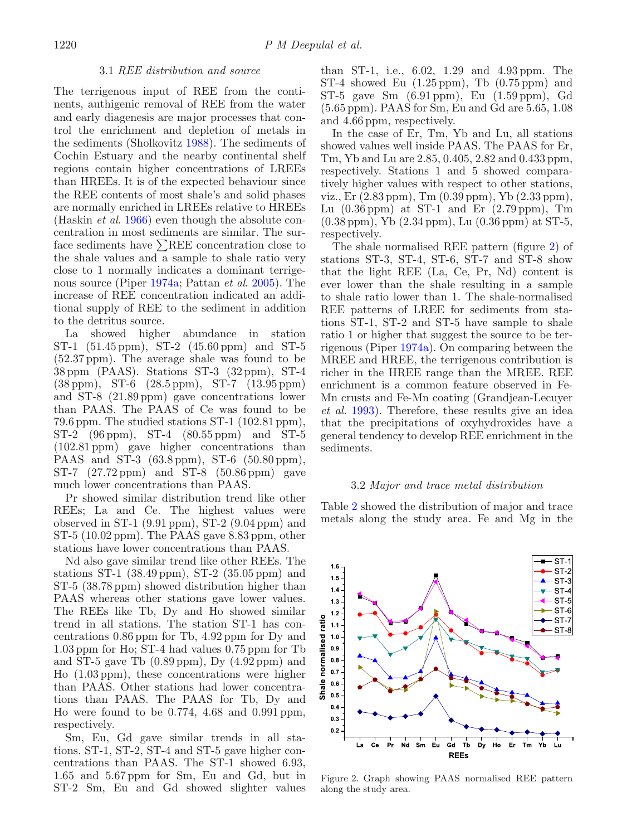#### 3.1 REE distribution and source

The terrigenous input of REE from the continents, authigenic removal of REE from the water and early diagenesis are major processes that control the enrichment and depletion of metals in the sediments (Sholkovit[z](#page-12-5) [1988\)](#page-12-5). The sediments of Cochin Estuary and the nearby continental shelf regions contain higher concentrations of LREEs than HREEs. It is of the expected behaviour since the REE contents of most shale's and solid phases are normally enriched in LREEs relative to HREEs (Haskin et al[.](#page-11-16) [1966](#page-11-16)) even though the absolute concentration in most sediments are similar. The surface sediments have  $\sum$ REE concentration close to the shale values and a sample to shale ratio very close to 1 normally indicates a dominant terrigenous sou[r](#page-12-6)ce (Piper [1974a](#page-12-6); Pattan *et al[.](#page-12-7)* [2005](#page-12-7)). The increase of REE concentration indicated an additional supply of REE to the sediment in addition to the detritus source.

La showed higher abundance in station ST-1 (51.45 ppm), ST-2 (45.60 ppm) and ST-5 (52.37 ppm). The average shale was found to be 38 ppm (PAAS). Stations ST-3 (32 ppm), ST-4 (38 ppm), ST-6 (28.5 ppm), ST-7 (13.95 ppm) and ST-8 (21.89 ppm) gave concentrations lower than PAAS. The PAAS of Ce was found to be 79.6 ppm. The studied stations ST-1 (102.81 ppm), ST-2 (96 ppm), ST-4 (80.55 ppm) and ST-5 (102.81 ppm) gave higher concentrations than PAAS and ST-3 (63.8 ppm), ST-6 (50.80 ppm), ST-7 (27.72 ppm) and ST-8 (50.86 ppm) gave much lower concentrations than PAAS.

Pr showed similar distribution trend like other REEs; La and Ce. The highest values were observed in ST-1  $(9.91 \,\mathrm{ppm})$ , ST-2  $(9.04 \,\mathrm{ppm})$  and ST-5 (10.02 ppm). The PAAS gave 8.83 ppm, other stations have lower concentrations than PAAS.

Nd also gave similar trend like other REEs. The stations ST-1 (38.49 ppm), ST-2 (35.05 ppm) and ST-5 (38.78 ppm) showed distribution higher than PAAS whereas other stations gave lower values. The REEs like Tb, Dy and Ho showed similar trend in all stations. The station ST-1 has concentrations 0.86 ppm for Tb, 4.92 ppm for Dy and 1.03 ppm for Ho; ST-4 had values 0.75 ppm for Tb and ST-5 gave Tb (0.89 ppm), Dy (4.92 ppm) and Ho (1.03 ppm), these concentrations were higher than PAAS. Other stations had lower concentrations than PAAS. The PAAS for Tb, Dy and Ho were found to be 0.774, 4.68 and 0.991 ppm, respectively.

Sm, Eu, Gd gave similar trends in all stations. ST-1, ST-2, ST-4 and ST-5 gave higher concentrations than PAAS. The ST-1 showed 6.93, 1.65 and 5.67 ppm for Sm, Eu and Gd, but in ST-2 Sm, Eu and Gd showed slighter values than ST-1, i.e., 6.02, 1.29 and 4.93 ppm. The ST-4 showed Eu (1.25 ppm), Tb (0.75 ppm) and ST-5 gave Sm (6.91 ppm), Eu (1.59 ppm), Gd (5.65 ppm). PAAS for Sm, Eu and Gd are 5.65, 1.08 and 4.66 ppm, respectively.

In the case of Er, Tm, Yb and Lu, all stations showed values well inside PAAS. The PAAS for Er, Tm, Yb and Lu are 2.85, 0.405, 2.82 and 0.433 ppm, respectively. Stations 1 and 5 showed comparatively higher values with respect to other stations, viz., Er (2.83 ppm), Tm (0.39 ppm), Yb (2.33 ppm), Lu  $(0.36 \text{ ppm})$  at ST-1 and Er  $(2.79 \text{ ppm})$ , Tm (0.38 ppm), Yb (2.34 ppm), Lu (0.36 ppm) at ST-5, respectively.

The shale normalised REE pattern (figure [2\)](#page-5-0) of stations ST-3, ST-4, ST-6, ST-7 and ST-8 show that the light REE (La, Ce, Pr, Nd) content is ever lower than the shale resulting in a sample to shale ratio lower than 1. The shale-normalised REE patterns of LREE for sediments from stations ST-1, ST-2 and ST-5 have sample to shale ratio 1 or higher that suggest the source to be terrigenous (Pipe[r](#page-12-6) [1974a](#page-12-6)). On comparing between the MREE and HREE, the terrigenous contribution is richer in the HREE range than the MREE. REE enrichment is a common feature observed in Fe-Mn crusts and Fe-Mn coating (Grandjean-Lecuyer et al[.](#page-11-17) [1993\)](#page-11-17). Therefore, these results give an idea that the precipitations of oxyhydroxides have a general tendency to develop REE enrichment in the sediments.

#### 3.2 Major and trace metal distribution

Table [2](#page-3-1) showed the distribution of major and trace metals along the study area. Fe and Mg in the

<span id="page-5-0"></span>

Figure 2. Graph showing PAAS normalised REE pattern along the study area.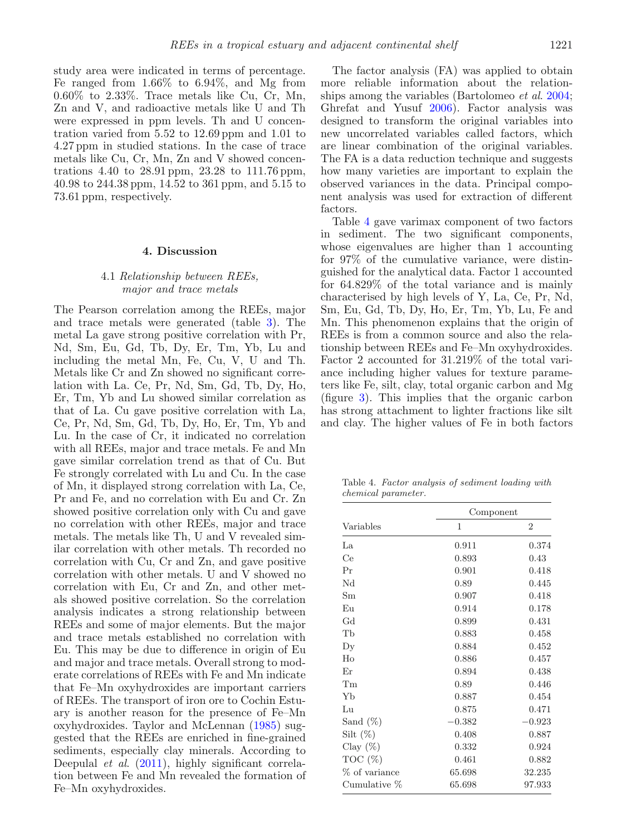study area were indicated in terms of percentage. Fe ranged from 1.66% to 6.94%, and Mg from 0.60% to 2.33%. Trace metals like Cu, Cr, Mn, Zn and V, and radioactive metals like U and Th were expressed in ppm levels. Th and U concentration varied from 5.52 to 12.69 ppm and 1.01 to 4.27 ppm in studied stations. In the case of trace metals like Cu, Cr, Mn, Zn and V showed concentrations 4.40 to 28.91 ppm, 23.28 to 111.76 ppm, 40.98 to 244.38 ppm, 14.52 to 361 ppm, and 5.15 to 73.61 ppm, respectively.

#### **4. Discussion**

## 4.1 Relationship between REEs, major and trace metals

The Pearson correlation among the REEs, major and trace metals were generated (table [3\)](#page-4-0). The metal La gave strong positive correlation with Pr, Nd, Sm, Eu, Gd, Tb, Dy, Er, Tm, Yb, Lu and including the metal Mn, Fe, Cu, V, U and Th. Metals like Cr and Zn showed no significant correlation with La. Ce, Pr, Nd, Sm, Gd, Tb, Dy, Ho, Er, Tm, Yb and Lu showed similar correlation as that of La. Cu gave positive correlation with La, Ce, Pr, Nd, Sm, Gd, Tb, Dy, Ho, Er, Tm, Yb and Lu. In the case of Cr, it indicated no correlation with all REEs, major and trace metals. Fe and Mn gave similar correlation trend as that of Cu. But Fe strongly correlated with Lu and Cu. In the case of Mn, it displayed strong correlation with La, Ce, Pr and Fe, and no correlation with Eu and Cr. Zn showed positive correlation only with Cu and gave no correlation with other REEs, major and trace metals. The metals like Th, U and V revealed similar correlation with other metals. Th recorded no correlation with Cu, Cr and Zn, and gave positive correlation with other metals. U and V showed no correlation with Eu, Cr and Zn, and other metals showed positive correlation. So the correlation analysis indicates a strong relationship between REEs and some of major elements. But the major and trace metals established no correlation with Eu. This may be due to difference in origin of Eu and major and trace metals. Overall strong to moderate correlations of REEs with Fe and Mn indicate that Fe–Mn oxyhydroxides are important carriers of REEs. The transport of iron ore to Cochin Estuary is another reason for the presence of Fe–Mn oxyhydroxides. Taylor and McLenna[n](#page-12-8) [\(1985\)](#page-12-8) suggested that the REEs are enriched in fine-grained sediments, especially clay minerals. According to Deepulal et al[.](#page-11-18) [\(2011](#page-11-18)), highly significant correlation between Fe and Mn revealed the formation of Fe–Mn oxyhydroxides.

The factor analysis (FA) was applied to obtain more reliable information about the relationships among the variables (Bartolomeo et al[.](#page-11-19) [2004](#page-11-19); Ghrefat and Yusu[f](#page-11-20) [2006\)](#page-11-20). Factor analysis was designed to transform the original variables into new uncorrelated variables called factors, which are linear combination of the original variables. The FA is a data reduction technique and suggests how many varieties are important to explain the observed variances in the data. Principal component analysis was used for extraction of different factors.

Table [4](#page-6-0) gave varimax component of two factors in sediment. The two significant components, whose eigenvalues are higher than 1 accounting for 97% of the cumulative variance, were distinguished for the analytical data. Factor 1 accounted for 64.829% of the total variance and is mainly characterised by high levels of Y, La, Ce, Pr, Nd, Sm, Eu, Gd, Tb, Dy, Ho, Er, Tm, Yb, Lu, Fe and Mn. This phenomenon explains that the origin of REEs is from a common source and also the relationship between REEs and Fe–Mn oxyhydroxides. Factor 2 accounted for 31.219% of the total variance including higher values for texture parameters like Fe, silt, clay, total organic carbon and Mg (figure [3\)](#page-4-0). This implies that the organic carbon has strong attachment to lighter fractions like silt and clay. The higher values of Fe in both factors

<span id="page-6-0"></span>Table 4. Factor analysis of sediment loading with chemical parameter.

|               | Component |                |
|---------------|-----------|----------------|
| Variables     | 1         | $\overline{2}$ |
| La.           | 0.911     | 0.374          |
| Ce            | 0.893     | 0.43           |
| Pr            | 0.901     | 0.418          |
| Nd            | 0.89      | 0.445          |
| Sm            | 0.907     | 0.418          |
| Eu            | 0.914     | 0.178          |
| Gd            | 0.899     | 0.431          |
| Тb            | 0.883     | 0.458          |
| $_{\rm Dy}$   | 0.884     | 0.452          |
| Ho            | 0.886     | 0.457          |
| Er            | 0.894     | 0.438          |
| Tm            | 0.89      | 0.446          |
| Yb            | 0.887     | 0.454          |
| Lu            | 0.875     | 0.471          |
| Sand $(\%)$   | $-0.382$  | $-0.923$       |
| Silt $(\%)$   | 0.408     | 0.887          |
| Clay $(\%)$   | 0.332     | 0.924          |
| TOC $(\%)$    | 0.461     | 0.882          |
| % of variance | 65.698    | 32.235         |
| Cumulative %  | 65.698    | 97.933         |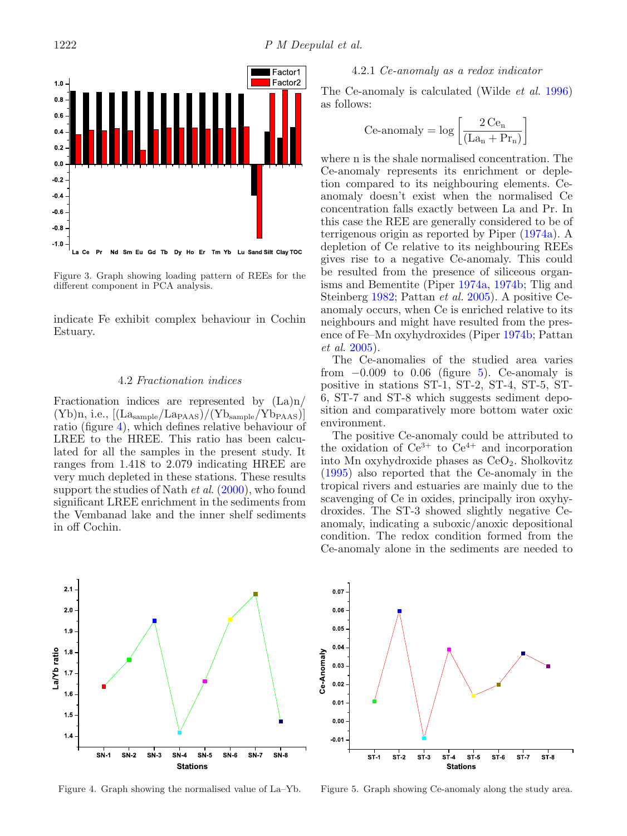

Figure 3. Graph showing loading pattern of REEs for the different component in PCA analysis.

indicate Fe exhibit complex behaviour in Cochin Estuary.

## 4.2 Fractionation indices

Fractionation indices are represented by  $(La)n/$  $(Yb)$ n, i.e.,  $[(La<sub>sample</sub>/La<sub>PAAS</sub>)/(Yb<sub>sample</sub>/Yb<sub>PAAS</sub>)]$ ratio (figure [4\)](#page-7-0), which defines relative behaviour of LREE to the HREE. This ratio has been calculated for all the samples in the present study. It ranges from 1.418 to 2.079 indicating HREE are very much depleted in these stations. These results support the studies of Nath et al[.](#page-11-21) [\(2000](#page-11-21)), who found significant LREE enrichment in the sediments from the Vembanad lake and the inner shelf sediments in off Cochin.

## 4.2.1 Ce-anomaly as a redox indicator

The Ce-anomaly is calculated (Wilde et al[.](#page-12-9) [1996](#page-12-9)) as follows:

$$
Ce-anomaly = log \left[ \frac{2 Ce_n}{(La_n + Pr_n)} \right]
$$

where n is the shale normalised concentration. The Ce-anomaly represents its enrichment or depletion compared to its neighbouring elements. Ceanomaly doesn't exist when the normalised Ce concentration falls exactly between La and Pr. In this case the REE are generally considered to be of terrigenous origin as reported by Pipe[r](#page-12-6) [\(1974a](#page-12-6)). A depletion of Ce relative to its neighbouring REEs gives rise to a negative Ce-anomaly. This could be resulted from the presence of siliceous organisms and Bementite (Piper [1974a,](#page-12-6) [1974b](#page-12-10); Tlig and Steinberg [1982;](#page-12-11) Pattan et al. [2005\)](#page-12-7). A positive Ceanomaly occurs, when Ce is enriched relative to its neighbours and might have resulted from the presence of Fe–Mn oxyhydroxides (Pipe[r](#page-12-10) [1974b;](#page-12-10) Pattan et al[.](#page-12-7) [2005](#page-12-7)).

The Ce-anomalies of the studied area varies from  $-0.009$  to 0.06 (figure [5\)](#page-7-1). Ce-anomaly is positive in stations ST-1, ST-2, ST-4, ST-5, ST-6, ST-7 and ST-8 which suggests sediment deposition and comparatively more bottom water oxic environment.

The positive Ce-anomaly could be attributed to the oxidation of  $Ce^{3+}$  to  $Ce^{4+}$  and incorporation into Mn oxyhydroxide phases as  $CeO<sub>2</sub>$ . Sholkovit[z](#page-12-0) [\(1995\)](#page-12-0) also reported that the Ce-anomaly in the tropical rivers and estuaries are mainly due to the scavenging of Ce in oxides, principally iron oxyhydroxides. The ST-3 showed slightly negative Ceanomaly, indicating a suboxic/anoxic depositional condition. The redox condition formed from the Ce-anomaly alone in the sediments are needed to

<span id="page-7-0"></span>

Figure 4. Graph showing the normalised value of La–Yb.

<span id="page-7-1"></span>

Figure 5. Graph showing Ce-anomaly along the study area.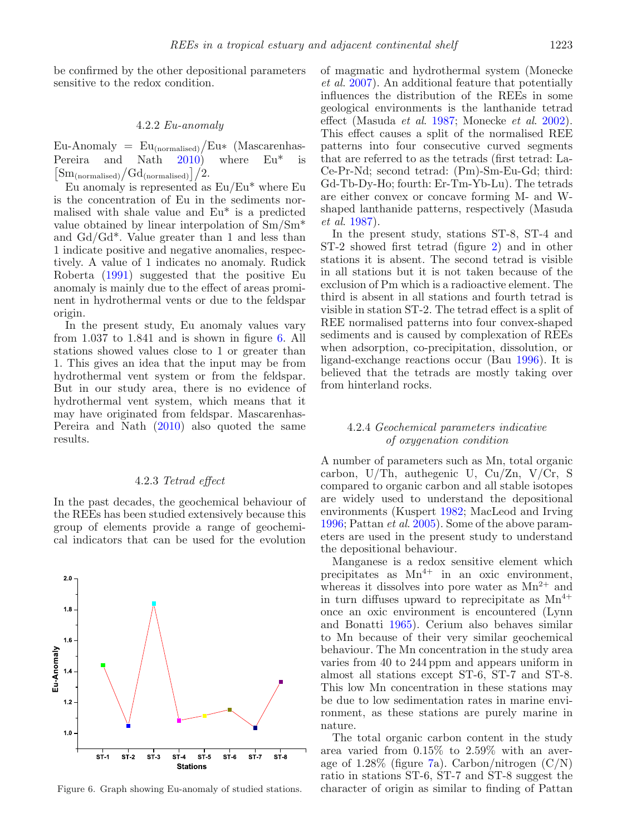be confirmed by the other depositional parameters sensitive to the redox condition.

## 4.2.2 Eu-anomaly

 $\text{Eu-Anomaly} = \text{Eu}_{\text{(normalised)}} / \text{Eu}$ \* (MascarenhasPereira and Nat[h](#page-11-22)  $2010$ ) where  $Eu^*$  is  $\left|\text{Sm}_{\text{(normalized)}}\right|/\text{Gd}_{\text{(normalized)}}\right|/2.$ 

Eu anomaly is represented as Eu/Eu\* where Eu is the concentration of Eu in the sediments normalised with shale value and Eu\* is a predicted value obtained by linear interpolation of Sm/Sm\* and Gd/Gd\*. Value greater than 1 and less than 1 indicate positive and negative anomalies, respectively. A value of 1 indicates no anomaly. Rudick Robert[a](#page-12-12) [\(1991](#page-12-12)) suggested that the positive Eu anomaly is mainly due to the effect of areas prominent in hydrothermal vents or due to the feldspar origin.

In the present study, Eu anomaly values vary from 1.037 to 1.841 and is shown in figure [6.](#page-8-0) All stations showed values close to 1 or greater than 1. This gives an idea that the input may be from hydrothermal vent system or from the feldspar. But in our study area, there is no evidence of hydrothermal vent system, which means that it may have originated from feldspar. Mascarenhas-Pereira and Nat[h](#page-11-22) [\(2010](#page-11-22)) also quoted the same results.

#### 4.2.3 Tetrad effect

In the past decades, the geochemical behaviour of the REEs has been studied extensively because this group of elements provide a range of geochemical indicators that can be used for the evolution

<span id="page-8-0"></span>

Figure 6. Graph showing Eu-anomaly of studied stations.

of magmatic and hydrothermal system (Monecke et al[.](#page-11-23) [2007\)](#page-11-23). An additional feature that potentially influences the distribution of the REEs in some geological environments is the lanthanide tetrad effect (Masuda et al[.](#page-11-24) [1987](#page-11-24); Monecke et al[.](#page-11-25) [2002\)](#page-11-25). This effect causes a split of the normalised REE patterns into four consecutive curved segments that are referred to as the tetrads (first tetrad: La-Ce-Pr-Nd; second tetrad: (Pm)-Sm-Eu-Gd; third: Gd-Tb-Dy-Ho; fourth: Er-Tm-Yb-Lu). The tetrads are either convex or concave forming M- and Wshaped lanthanide patterns, respectively (Masuda et al[.](#page-11-24) [1987](#page-11-24)).

In the present study, stations ST-8, ST-4 and ST-2 showed first tetrad (figure [2\)](#page-5-0) and in other stations it is absent. The second tetrad is visible in all stations but it is not taken because of the exclusion of Pm which is a radioactive element. The third is absent in all stations and fourth tetrad is visible in station ST-2. The tetrad effect is a split of REE normalised patterns into four convex-shaped sediments and is caused by complexation of REEs when adsorption, co-precipitation, dissolution, or ligand-exchange reactions occur (Ba[u](#page-11-26) [1996](#page-11-26)). It is believed that the tetrads are mostly taking over from hinterland rocks.

## 4.2.4 Geochemical parameters indicative of oxygenation condition

A number of parameters such as Mn, total organic carbon, U/Th, authegenic U, Cu/Zn, V/Cr, S compared to organic carbon and all stable isotopes are widely used to understand the depositional environments (Kusper[t](#page-11-27) [1982](#page-11-27); MacLeod and Irvin[g](#page-11-28) [1996;](#page-11-28) Pattan et al[.](#page-12-7) [2005](#page-12-7)). Some of the above parameters are used in the present study to understand the depositional behaviour.

Manganese is a redox sensitive element which precipitates as  $Mn^{4+}$  in an oxic environment, whereas it dissolves into pore water as  $Mn^{2+}$  and in turn diffuses upward to reprecipitate as  $Mn^{4+}$ once an oxic environment is encountered (Lynn and Bonatt[i](#page-11-29) [1965\)](#page-11-29). Cerium also behaves similar to Mn because of their very similar geochemical behaviour. The Mn concentration in the study area varies from 40 to 244 ppm and appears uniform in almost all stations except ST-6, ST-7 and ST-8. This low Mn concentration in these stations may be due to low sedimentation rates in marine environment, as these stations are purely marine in nature.

The total organic carbon content in the study area varied from 0.15% to 2.59% with an average of  $1.28\%$  (figure [7a](#page-9-0)). Carbon/nitrogen  $(C/N)$ ratio in stations ST-6, ST-7 and ST-8 suggest the character of origin as similar to finding of Pattan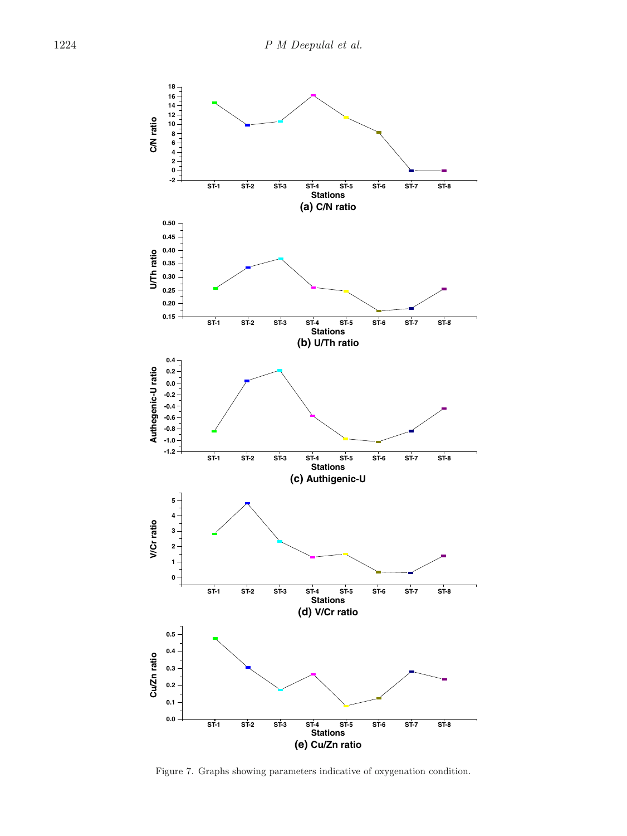<span id="page-9-0"></span>

Figure 7. Graphs showing parameters indicative of oxygenation condition.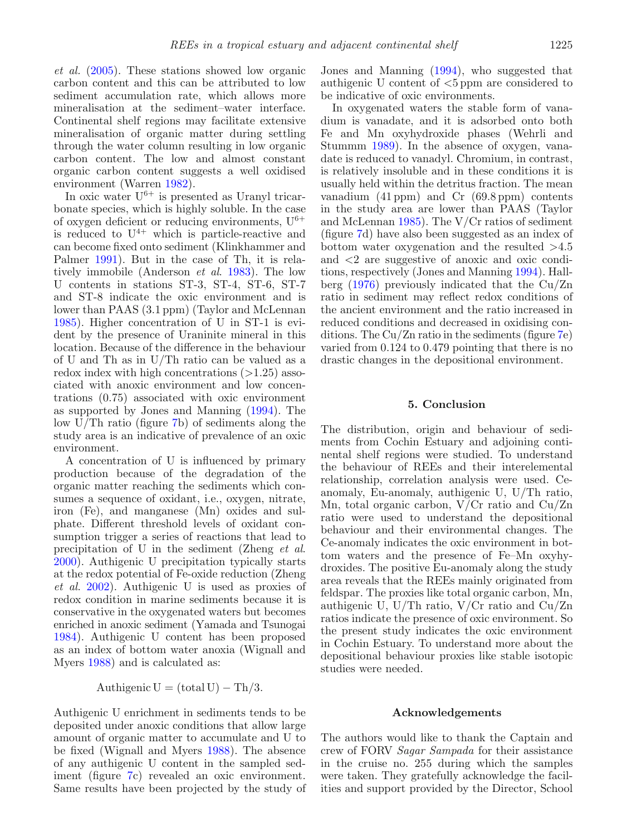et al. [\(2005\)](#page-12-7). These stations showed low organic carbon content and this can be attributed to low sediment accumulation rate, which allows more mineralisation at the sediment–water interface. Continental shelf regions may facilitate extensive mineralisation of organic matter during settling through the water column resulting in low organic carbon content. The low and almost constant organic carbon content suggests a well oxidised environment (Warre[n](#page-12-13) [1982\)](#page-12-13).

In oxic water  $U^{6+}$  is presented as Uranyl tricarbonate species, which is highly soluble. In the case of oxygen deficient or reducing environments,  $U^{6+}$ is reduced to  $U^{4+}$  which is particle-reactive and can become fixed onto sediment (Klinkhammer and Palme[r](#page-11-30) [1991](#page-11-30)). But in the case of Th, it is relatively immobile (Anderson et al[.](#page-11-31) [1983](#page-11-31)). The low U contents in stations ST-3, ST-4, ST-6, ST-7 and ST-8 indicate the oxic environment and is lower than PAAS (3.1 ppm) (Taylor and McLenna[n](#page-12-8) [1985\)](#page-12-8). Higher concentration of U in ST-1 is evident by the presence of Uraninite mineral in this location. Because of the difference in the behaviour of U and Th as in U/Th ratio can be valued as a redox index with high concentrations  $(>1.25)$  associated with anoxic environment and low concentrations (0.75) associated with oxic environment as supported by Jones and Mannin[g](#page-11-32) [\(1994\)](#page-11-32). The low U/Th ratio (figure [7b](#page-9-0)) of sediments along the study area is an indicative of prevalence of an oxic environment.

A concentration of U is influenced by primary production because of the degradation of the organic matter reaching the sediments which consumes a sequence of oxidant, i.e., oxygen, nitrate, iron (Fe), and manganese (Mn) oxides and sulphate. Different threshold levels of oxidant consumption trigger a series of reactions that lead to precipitation of U in the sediment (Zheng et al[.](#page-12-14) [2000\)](#page-12-14). Authigenic U precipitation typically starts at the redox potential of Fe-oxide reduction (Zheng et al[.](#page-12-15) [2002](#page-12-15)). Authigenic U is used as proxies of redox condition in marine sediments because it is conservative in the oxygenated waters but becomes enriched in anoxic sediment (Yamada and Tsunogai [1984\)](#page-12-16). Authigenic U content has been proposed as an index of bottom water anoxia (Wignall and Myer[s](#page-12-17) [1988](#page-12-17)) and is calculated as:

$$
Multiplying U = (total U) - Th/3.
$$

Authigenic U enrichment in sediments tends to be deposited under anoxic conditions that allow large amount of organic matter to accumulate and U to be fixed (Wignall and Myer[s](#page-12-17) [1988\)](#page-12-17). The absence of any authigenic U content in the sampled sediment (figure [7c](#page-9-0)) revealed an oxic environment. Same results have been projected by the study of

Jones and Mannin[g](#page-11-32) [\(1994](#page-11-32)), who suggested that authigenic U content of <5 ppm are considered to be indicative of oxic environments.

In oxygenated waters the stable form of vanadium is vanadate, and it is adsorbed onto both Fe and Mn oxyhydroxide phases (Wehrli and Stumm[m](#page-12-18) [1989](#page-12-18)). In the absence of oxygen, vanadate is reduced to vanadyl. Chromium, in contrast, is relatively insoluble and in these conditions it is usually held within the detritus fraction. The mean vanadium (41 ppm) and Cr (69.8 ppm) contents in the study area are lower than PAAS (Taylor and McLenna[n](#page-12-8) [1985](#page-12-8)). The V/Cr ratios of sediment (figure [7d](#page-9-0)) have also been suggested as an index of bottom water oxygenation and the resulted  $>4.5$ and <2 are suggestive of anoxic and oxic conditions, respectively (Jones and Mannin[g](#page-11-32) [1994](#page-11-32)). Hallber[g](#page-11-33) [\(1976\)](#page-11-33) previously indicated that the Cu/Zn ratio in sediment may reflect redox conditions of the ancient environment and the ratio increased in reduced conditions and decreased in oxidising conditions. The Cu/Zn ratio in the sediments (figure [7e](#page-9-0)) varied from 0.124 to 0.479 pointing that there is no drastic changes in the depositional environment.

## **5. Conclusion**

The distribution, origin and behaviour of sediments from Cochin Estuary and adjoining continental shelf regions were studied. To understand the behaviour of REEs and their interelemental relationship, correlation analysis were used. Ceanomaly, Eu-anomaly, authigenic U, U/Th ratio, Mn, total organic carbon, V/Cr ratio and Cu/Zn ratio were used to understand the depositional behaviour and their environmental changes. The Ce-anomaly indicates the oxic environment in bottom waters and the presence of Fe–Mn oxyhydroxides. The positive Eu-anomaly along the study area reveals that the REEs mainly originated from feldspar. The proxies like total organic carbon, Mn, authigenic U, U/Th ratio, V/Cr ratio and Cu/Zn ratios indicate the presence of oxic environment. So the present study indicates the oxic environment in Cochin Estuary. To understand more about the depositional behaviour proxies like stable isotopic studies were needed.

#### **Acknowledgements**

The authors would like to thank the Captain and crew of FORV Sagar Sampada for their assistance in the cruise no. 255 during which the samples were taken. They gratefully acknowledge the facilities and support provided by the Director, School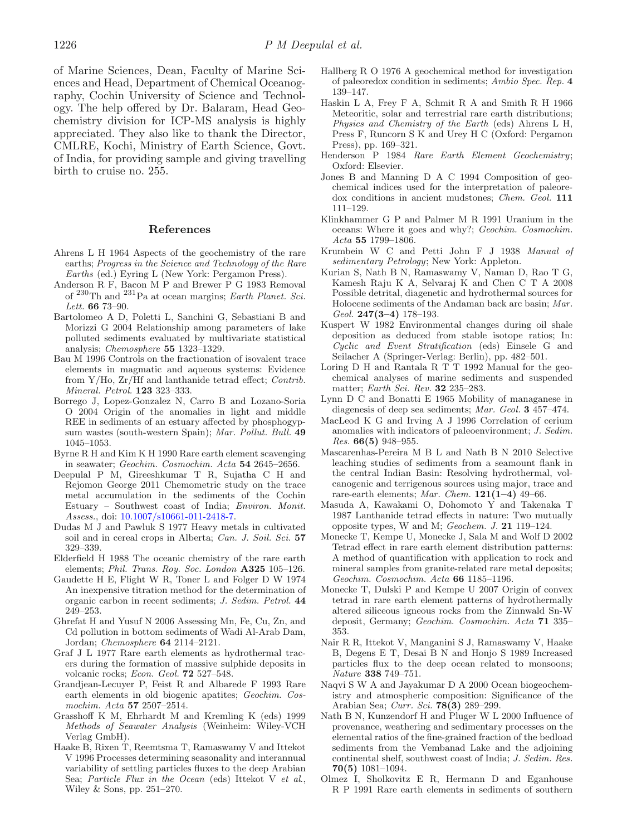of Marine Sciences, Dean, Faculty of Marine Sciences and Head, Department of Chemical Oceanography, Cochin University of Science and Technology. The help offered by Dr. Balaram, Head Geochemistry division for ICP-MS analysis is highly appreciated. They also like to thank the Director, CMLRE, Kochi, Ministry of Earth Science, Govt. of India, for providing sample and giving travelling birth to cruise no. 255.

#### **References**

- <span id="page-11-0"></span>Ahrens L H 1964 Aspects of the geochemistry of the rare earths; Progress in the Science and Technology of the Rare Earths (ed.) Eyring L (New York: Pergamon Press).
- <span id="page-11-31"></span>Anderson R F, Bacon M P and Brewer P G 1983 Removal of <sup>230</sup>Th and <sup>231</sup>Pa at ocean margins; Earth Planet. Sci. Lett. **66** 73–90.
- <span id="page-11-19"></span>Bartolomeo A D, Poletti L, Sanchini G, Sebastiani B and Morizzi G 2004 Relationship among parameters of lake polluted sediments evaluated by multivariate statistical analysis; Chemosphere **55** 1323–1329.
- <span id="page-11-26"></span>Bau M 1996 Controls on the fractionation of isovalent trace elements in magmatic and aqueous systems: Evidence from Y/Ho, Zr/Hf and lanthanide tetrad effect; Contrib. Mineral. Petrol. **123** 323–333.
- <span id="page-11-5"></span>Borrego J, Lopez-Gonzalez N, Carro B and Lozano-Soria O 2004 Origin of the anomalies in light and middle REE in sediments of an estuary affected by phosphogypsum wastes (south-western Spain); Mar. Pollut. Bull. **49** 1045–1053.
- <span id="page-11-2"></span>Byrne R H and Kim K H 1990 Rare earth element scavenging in seawater; Geochim. Cosmochim. Acta **54** 2645–2656.
- <span id="page-11-18"></span>Deepulal P M, Gireeshkumar T R, Sujatha C H and Rejomon George 2011 Chemometric study on the trace metal accumulation in the sediments of the Cochin Estuary – Southwest coast of India; Environ. Monit. Assess., doi: [10.1007/s10661-011-2418-7.](http://dx.doi.org/10.1007/s10661-011-2418-7)
- <span id="page-11-6"></span>Dudas M J and Pawluk S 1977 Heavy metals in cultivated soil and in cereal crops in Alberta; Can. J. Soil. Sci. **57** 329–339.
- <span id="page-11-7"></span>Elderfield H 1988 The oceanic chemistry of the rare earth elements; Phil. Trans. Roy. Soc. London **A325** 105–126.
- <span id="page-11-15"></span>Gaudette H E, Flight W R, Toner L and Folger D W 1974 An inexpensive titration method for the determination of organic carbon in recent sediments; J. Sedim. Petrol. **44** 249–253.
- <span id="page-11-20"></span>Ghrefat H and Yusuf N 2006 Assessing Mn, Fe, Cu, Zn, and Cd pollution in bottom sediments of Wadi Al-Arab Dam, Jordan; Chemosphere **64** 2114–2121.
- <span id="page-11-3"></span>Graf J L 1977 Rare earth elements as hydrothermal tracers during the formation of massive sulphide deposits in volcanic rocks; Econ. Geol. **72** 527–548.
- <span id="page-11-17"></span>Grandjean-Lecuyer P, Feist R and Albarede F 1993 Rare earth elements in old biogenic apatites; Geochim. Cosmochim. Acta **57** 2507–2514.
- <span id="page-11-12"></span>Grasshoff K M, Ehrhardt M and Kremling K (eds) 1999 Methods of Seawater Analysis (Weinheim: Wiley-VCH Verlag GmbH).
- <span id="page-11-10"></span>Haake B, Rixen T, Reemtsma T, Ramaswamy V and Ittekot V 1996 Processes determining seasonality and interannual variability of settling particles fluxes to the deep Arabian Sea; Particle Flux in the Ocean (eds) Ittekot V et al., Wiley & Sons, pp. 251–270.
- <span id="page-11-33"></span>Hallberg R O 1976 A geochemical method for investigation of paleoredox condition in sediments; Ambio Spec. Rep. **4** 139–147.
- <span id="page-11-16"></span>Haskin L A, Frey F A, Schmit R A and Smith R H 1966 Meteoritic, solar and terrestrial rare earth distributions; Physics and Chemistry of the Earth (eds) Ahrens L H, Press F, Runcorn S K and Urey H C (Oxford: Pergamon Press), pp. 169–321.
- <span id="page-11-1"></span>Henderson P 1984 Rare Earth Element Geochemistry; Oxford: Elsevier.
- <span id="page-11-32"></span>Jones B and Manning D A C 1994 Composition of geochemical indices used for the interpretation of paleoredox conditions in ancient mudstones; Chem. Geol. **111** 111–129.
- <span id="page-11-30"></span>Klinkhammer G P and Palmer M R 1991 Uranium in the oceans: Where it goes and why?; Geochim. Cosmochim. Acta **55** 1799–1806.
- <span id="page-11-14"></span>Krumbein W C and Petti John F J 1938 Manual of sedimentary Petrology; New York: Appleton.
- <span id="page-11-8"></span>Kurian S, Nath B N, Ramaswamy V, Naman D, Rao T G, Kamesh Raju K A, Selvaraj K and Chen C T A 2008 Possible detrital, diagenetic and hydrothermal sources for Holocene sediments of the Andaman back arc basin; Mar. Geol. **247(3–4)** 178–193.
- <span id="page-11-27"></span>Kuspert W 1982 Environmental changes during oil shale deposition as deduced from stable isotope ratios; In: Cyclic and Event Stratification (eds) Einsele G and Seilacher A (Springer-Verlag: Berlin), pp. 482–501.
- <span id="page-11-13"></span>Loring D H and Rantala R T T 1992 Manual for the geochemical analyses of marine sediments and suspended matter; Earth Sci. Rev. **32** 235–283.
- <span id="page-11-29"></span>Lynn D C and Bonatti E 1965 Mobility of managanese in diagenesis of deep sea sediments; Mar. Geol. **3** 457–474.
- <span id="page-11-28"></span>MacLeod K G and Irving A J 1996 Correlation of cerium anomalies with indicators of paleoenvironment; J. Sedim. Res. **66(5)** 948–955.
- <span id="page-11-22"></span>Mascarenhas-Pereira M B L and Nath B N 2010 Selective leaching studies of sediments from a seamount flank in the central Indian Basin: Resolving hydrothermal, volcanogenic and terrigenous sources using major, trace and rare-earth elements; Mar. Chem. **121(1–4)** 49–66.
- <span id="page-11-24"></span>Masuda A, Kawakami O, Dohomoto Y and Takenaka T 1987 Lanthanide tetrad effects in nature: Two mutually opposite types, W and M; Geochem. J. **21** 119–124.
- <span id="page-11-25"></span>Monecke T, Kempe U, Monecke J, Sala M and Wolf D 2002 Tetrad effect in rare earth element distribution patterns: A method of quantification with application to rock and mineral samples from granite-related rare metal deposits; Geochim. Cosmochim. Acta **66** 1185–1196.
- <span id="page-11-23"></span>Monecke T, Dulski P and Kempe U 2007 Origin of convex tetrad in rare earth element patterns of hydrothermally altered siliceous igneous rocks from the Zinnwald Sn-W deposit, Germany; Geochim. Cosmochim. Acta **71** 335– 353.
- <span id="page-11-9"></span>Nair R R, Ittekot V, Manganini S J, Ramaswamy V, Haake B, Degens E T, Desai B N and Honjo S 1989 Increased particles flux to the deep ocean related to monsoons; Nature **338** 749–751.
- <span id="page-11-11"></span>Naqvi S W A and Jayakumar D A 2000 Ocean biogeochemistry and atmospheric composition: Significance of the Arabian Sea; Curr. Sci. **78(3)** 289–299.
- <span id="page-11-21"></span>Nath B N, Kunzendorf H and Pluger W L 2000 Influence of provenance, weathering and sedimentary processes on the elemental ratios of the fine-grained fraction of the bedload sediments from the Vembanad Lake and the adjoining continental shelf, southwest coast of India; J. Sedim. Res. **70(5)** 1081–1094.
- <span id="page-11-4"></span>Olmez I, Sholkovitz E R, Hermann D and Eganhouse R P 1991 Rare earth elements in sediments of southern